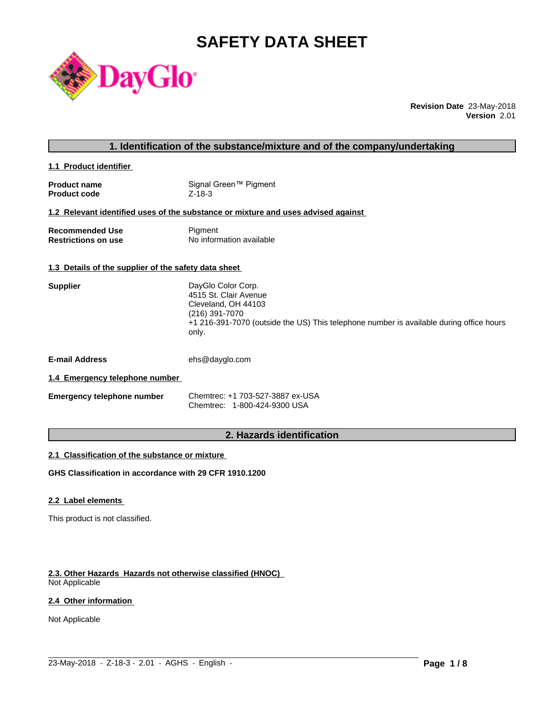# **SAFETY DATA SHEET**



**Revision Date** 23-May-2018 **Version** 2.01

**1.1 Product identifier** 

| <b>Product name</b> | Signal Green™ Pigment |
|---------------------|-----------------------|
| <b>Product code</b> | $Z - 18 - 3$          |

#### **1.2 Relevant identified uses of the substance or mixture and uses advised against**

| <b>Recommended Use</b>     | Pigment                  |
|----------------------------|--------------------------|
| <b>Restrictions on use</b> | No information available |

#### **1.3 Details of the supplier of the safety data sheet**

| DayGlo Color Corp.                                                                               |
|--------------------------------------------------------------------------------------------------|
| 4515 St. Clair Avenue                                                                            |
| Cleveland, OH 44103                                                                              |
| (216) 391-7070                                                                                   |
| +1 216-391-7070 (outside the US) This telephone number is available during office hours<br>only. |
|                                                                                                  |
|                                                                                                  |

**E-mail Address** ehs@dayglo.com

#### **1.4 Emergency telephone number**

| <b>Emergency telephone number</b> | Chemtrec: +1 703-527-3887 ex-USA |  |
|-----------------------------------|----------------------------------|--|
|                                   | Chemtrec: 1-800-424-9300 USA     |  |

# **2. Hazards identification**

 $\_$  ,  $\_$  ,  $\_$  ,  $\_$  ,  $\_$  ,  $\_$  ,  $\_$  ,  $\_$  ,  $\_$  ,  $\_$  ,  $\_$  ,  $\_$  ,  $\_$  ,  $\_$  ,  $\_$  ,  $\_$  ,  $\_$  ,  $\_$  ,  $\_$  ,  $\_$  ,  $\_$  ,  $\_$  ,  $\_$  ,  $\_$  ,  $\_$  ,  $\_$  ,  $\_$  ,  $\_$  ,  $\_$  ,  $\_$  ,  $\_$  ,  $\_$  ,  $\_$  ,  $\_$  ,  $\_$  ,  $\_$  ,  $\_$  ,

#### **2.1 Classification of the substance or mixture**

**GHS Classification in accordance with 29 CFR 1910.1200**

#### **2.2 Label elements**

This product is not classified.

#### **2.3. Other Hazards Hazards not otherwise classified (HNOC)**

Not Applicable

# **2.4 Other information**

Not Applicable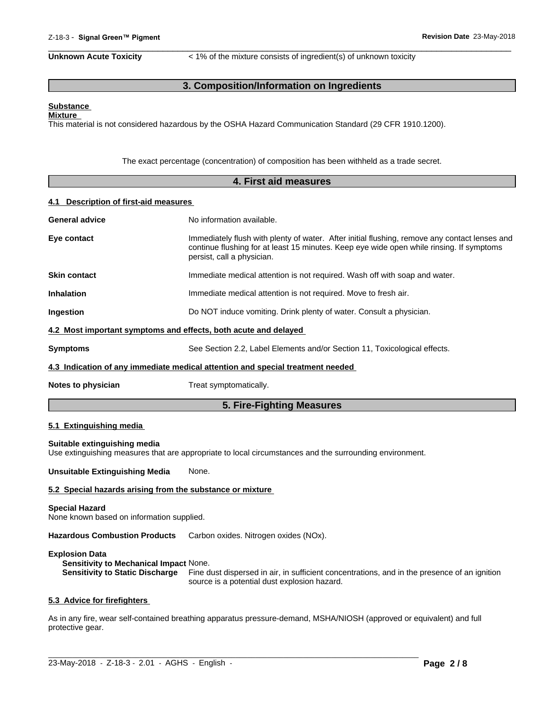**Unknown Acute Toxicity** < 1% of the mixture consists of ingredient(s) of unknown toxicity

 $\overline{\phantom{a}}$  ,  $\overline{\phantom{a}}$  ,  $\overline{\phantom{a}}$  ,  $\overline{\phantom{a}}$  ,  $\overline{\phantom{a}}$  ,  $\overline{\phantom{a}}$  ,  $\overline{\phantom{a}}$  ,  $\overline{\phantom{a}}$  ,  $\overline{\phantom{a}}$  ,  $\overline{\phantom{a}}$  ,  $\overline{\phantom{a}}$  ,  $\overline{\phantom{a}}$  ,  $\overline{\phantom{a}}$  ,  $\overline{\phantom{a}}$  ,  $\overline{\phantom{a}}$  ,  $\overline{\phantom{a}}$ 

# **3. Composition/Information on Ingredients**

#### **Substance Mixture**

This material is not considered hazardous by the OSHA Hazard Communication Standard (29 CFR 1910.1200).

The exact percentage (concentration) of composition has been withheld as a trade secret.

|                                       | 4. First aid measures                                                                                                                                                                                                   |
|---------------------------------------|-------------------------------------------------------------------------------------------------------------------------------------------------------------------------------------------------------------------------|
| 4.1 Description of first-aid measures |                                                                                                                                                                                                                         |
| <b>General advice</b>                 | No information available.                                                                                                                                                                                               |
| Eye contact                           | Immediately flush with plenty of water. After initial flushing, remove any contact lenses and<br>continue flushing for at least 15 minutes. Keep eye wide open while rinsing. If symptoms<br>persist, call a physician. |
| <b>Skin contact</b>                   | Immediate medical attention is not required. Wash off with soap and water.                                                                                                                                              |
| <b>Inhalation</b>                     | Immediate medical attention is not required. Move to fresh air.                                                                                                                                                         |
| Ingestion                             | Do NOT induce vomiting. Drink plenty of water. Consult a physician.                                                                                                                                                     |
|                                       | 4.2 Most important symptoms and effects, both acute and delayed                                                                                                                                                         |
| <b>Symptoms</b>                       | See Section 2.2, Label Elements and/or Section 11, Toxicological effects.                                                                                                                                               |
|                                       | 4.3 Indication of any immediate medical attention and special treatment needed                                                                                                                                          |
| Notes to physician                    | Treat symptomatically.                                                                                                                                                                                                  |
|                                       | 5. Fire-Fighting Measures                                                                                                                                                                                               |
| 5.1 Extinguishing media               |                                                                                                                                                                                                                         |
| Suitable extinguishing media          | Use extinguishing measures that are appropriate to local circumstances and the surrounding environment.                                                                                                                 |
| <b>Unsuitable Extinguishing Media</b> | None.                                                                                                                                                                                                                   |
|                                       | 5.2 Special hazards arising from the substance or mixture                                                                                                                                                               |
| <b>Special Hazard</b>                 |                                                                                                                                                                                                                         |

None known based on information supplied.

**Hazardous Combustion Products** Carbon oxides. Nitrogen oxides (NOx).

#### **Explosion Data**

**Sensitivity to Mechanical Impact** None. **Sensitivity to Static Discharge** Fine dust dispersed in air, in sufficient concentrations, and in the presence of an ignition source is a potential dust explosion hazard.

#### **5.3 Advice for firefighters**

As in any fire, wear self-contained breathing apparatus pressure-demand, MSHA/NIOSH (approved or equivalent) and full protective gear.

 $\_$  ,  $\_$  ,  $\_$  ,  $\_$  ,  $\_$  ,  $\_$  ,  $\_$  ,  $\_$  ,  $\_$  ,  $\_$  ,  $\_$  ,  $\_$  ,  $\_$  ,  $\_$  ,  $\_$  ,  $\_$  ,  $\_$  ,  $\_$  ,  $\_$  ,  $\_$  ,  $\_$  ,  $\_$  ,  $\_$  ,  $\_$  ,  $\_$  ,  $\_$  ,  $\_$  ,  $\_$  ,  $\_$  ,  $\_$  ,  $\_$  ,  $\_$  ,  $\_$  ,  $\_$  ,  $\_$  ,  $\_$  ,  $\_$  ,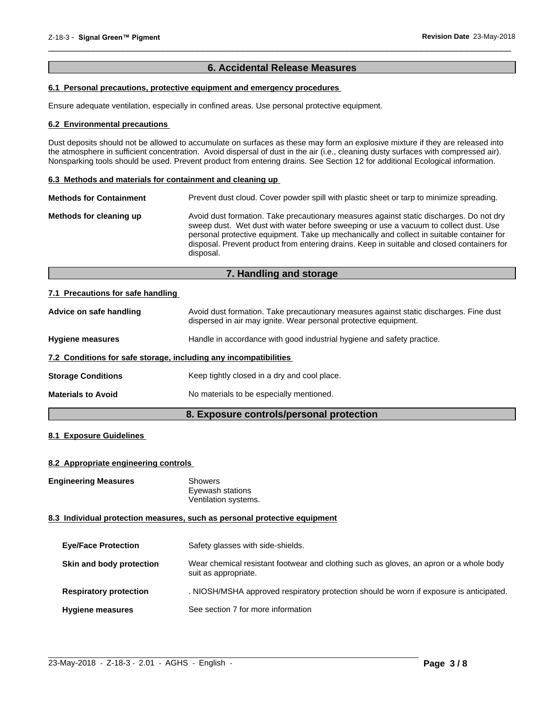# **6. Accidental Release Measures**

 $\overline{\phantom{a}}$  ,  $\overline{\phantom{a}}$  ,  $\overline{\phantom{a}}$  ,  $\overline{\phantom{a}}$  ,  $\overline{\phantom{a}}$  ,  $\overline{\phantom{a}}$  ,  $\overline{\phantom{a}}$  ,  $\overline{\phantom{a}}$  ,  $\overline{\phantom{a}}$  ,  $\overline{\phantom{a}}$  ,  $\overline{\phantom{a}}$  ,  $\overline{\phantom{a}}$  ,  $\overline{\phantom{a}}$  ,  $\overline{\phantom{a}}$  ,  $\overline{\phantom{a}}$  ,  $\overline{\phantom{a}}$ 

# **6.1 Personal precautions, protective equipment and emergency procedures**

Ensure adequate ventilation, especially in confined areas. Use personal protective equipment.

#### **6.2 Environmental precautions**

Dust deposits should not be allowed to accumulate on surfaces as these may form an explosive mixture if they are released into the atmosphere in sufficient concentration. Avoid dispersal of dust in the air (i.e., cleaning dusty surfaces with compressed air). Nonsparking tools should be used. Prevent product from entering drains. See Section 12 for additional Ecological information.

#### **6.3 Methods and materials for containment and cleaning up**

| <b>Methods for Containment</b> | Prevent dust cloud. Cover powder spill with plastic sheet or tarp to minimize spreading.                                                                                                                                                                                                                                                                                                |
|--------------------------------|-----------------------------------------------------------------------------------------------------------------------------------------------------------------------------------------------------------------------------------------------------------------------------------------------------------------------------------------------------------------------------------------|
| Methods for cleaning up        | Avoid dust formation. Take precautionary measures against static discharges. Do not dry<br>sweep dust. Wet dust with water before sweeping or use a vacuum to collect dust. Use<br>personal protective equipment. Take up mechanically and collect in suitable container for<br>disposal. Prevent product from entering drains. Keep in suitable and closed containers for<br>disposal. |

# **7. Handling and storage**

#### **7.1 Precautions for safe handling**

| Advice on safe handling                                          | Avoid dust formation. Take precautionary measures against static discharges. Fine dust<br>dispersed in air may ignite. Wear personal protective equipment. |  |
|------------------------------------------------------------------|------------------------------------------------------------------------------------------------------------------------------------------------------------|--|
| <b>Hygiene measures</b>                                          | Handle in accordance with good industrial hygiene and safety practice.                                                                                     |  |
| 7.2 Conditions for safe storage, including any incompatibilities |                                                                                                                                                            |  |
| <b>Storage Conditions</b>                                        | Keep tightly closed in a dry and cool place.                                                                                                               |  |
| <b>Materials to Avoid</b>                                        | No materials to be especially mentioned.                                                                                                                   |  |
|                                                                  |                                                                                                                                                            |  |

# **8. Exposure controls/personal protection**

# **8.1 Exposure Guidelines**

#### **8.2 Appropriate engineering controls**

**Engineering Measures** Showers

Eyewash stations Ventilation systems.

#### **8.3 Individual protection measures, such as personal protective equipment**

| <b>Eye/Face Protection</b>    | Safety glasses with side-shields.                                                                              |
|-------------------------------|----------------------------------------------------------------------------------------------------------------|
| Skin and body protection      | Wear chemical resistant footwear and clothing such as gloves, an apron or a whole body<br>suit as appropriate. |
| <b>Respiratory protection</b> | . NIOSH/MSHA approved respiratory protection should be worn if exposure is anticipated.                        |
| <b>Hygiene measures</b>       | See section 7 for more information                                                                             |

 $\_$  ,  $\_$  ,  $\_$  ,  $\_$  ,  $\_$  ,  $\_$  ,  $\_$  ,  $\_$  ,  $\_$  ,  $\_$  ,  $\_$  ,  $\_$  ,  $\_$  ,  $\_$  ,  $\_$  ,  $\_$  ,  $\_$  ,  $\_$  ,  $\_$  ,  $\_$  ,  $\_$  ,  $\_$  ,  $\_$  ,  $\_$  ,  $\_$  ,  $\_$  ,  $\_$  ,  $\_$  ,  $\_$  ,  $\_$  ,  $\_$  ,  $\_$  ,  $\_$  ,  $\_$  ,  $\_$  ,  $\_$  ,  $\_$  ,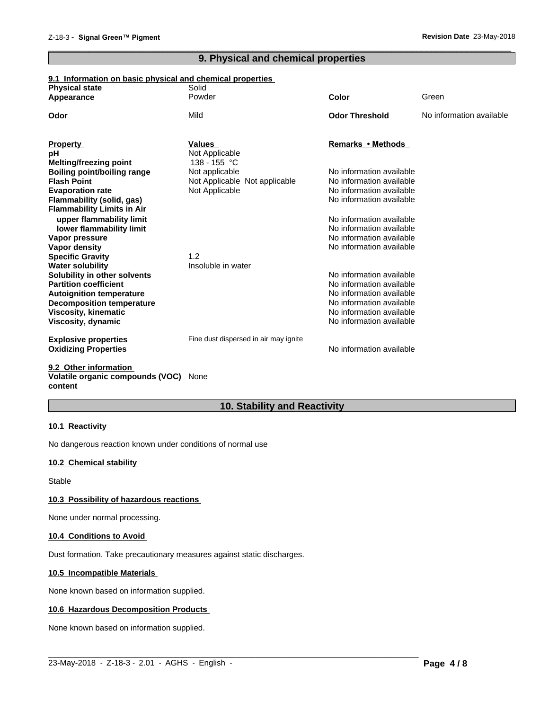# **9. Physical and chemical properties**

 $\overline{\phantom{a}}$  ,  $\overline{\phantom{a}}$  ,  $\overline{\phantom{a}}$  ,  $\overline{\phantom{a}}$  ,  $\overline{\phantom{a}}$  ,  $\overline{\phantom{a}}$  ,  $\overline{\phantom{a}}$  ,  $\overline{\phantom{a}}$  ,  $\overline{\phantom{a}}$  ,  $\overline{\phantom{a}}$  ,  $\overline{\phantom{a}}$  ,  $\overline{\phantom{a}}$  ,  $\overline{\phantom{a}}$  ,  $\overline{\phantom{a}}$  ,  $\overline{\phantom{a}}$  ,  $\overline{\phantom{a}}$ 

#### **9.1 Information on basic physical and chemical properties**

| <b>Physical state</b><br>Appearance            | Solid<br>Powder                       | <b>Color</b>             | Green                    |
|------------------------------------------------|---------------------------------------|--------------------------|--------------------------|
|                                                |                                       |                          |                          |
| Odor                                           | Mild                                  | <b>Odor Threshold</b>    | No information available |
|                                                |                                       |                          |                          |
| <b>Property</b>                                | <b>Values</b>                         | Remarks • Methods        |                          |
| рH                                             | Not Applicable                        |                          |                          |
| Melting/freezing point                         | 138 - 155 °C                          |                          |                          |
| <b>Boiling point/boiling range</b>             | Not applicable                        | No information available |                          |
| <b>Flash Point</b>                             | Not Applicable Not applicable         | No information available |                          |
| <b>Evaporation rate</b>                        | Not Applicable                        | No information available |                          |
| Flammability (solid, gas)                      |                                       | No information available |                          |
| <b>Flammability Limits in Air</b>              |                                       |                          |                          |
| upper flammability limit                       |                                       | No information available |                          |
| lower flammability limit                       |                                       | No information available |                          |
| Vapor pressure                                 |                                       | No information available |                          |
| Vapor density                                  |                                       | No information available |                          |
| <b>Specific Gravity</b>                        | 1.2                                   |                          |                          |
| <b>Water solubility</b>                        | Insoluble in water                    |                          |                          |
| Solubility in other solvents                   |                                       | No information available |                          |
| <b>Partition coefficient</b>                   |                                       | No information available |                          |
| <b>Autoignition temperature</b>                |                                       | No information available |                          |
| <b>Decomposition temperature</b>               |                                       | No information available |                          |
| <b>Viscosity, kinematic</b>                    |                                       | No information available |                          |
| Viscosity, dynamic                             |                                       | No information available |                          |
| <b>Explosive properties</b>                    | Fine dust dispersed in air may ignite |                          |                          |
| <b>Oxidizing Properties</b>                    |                                       | No information available |                          |
| $A \wedge A$ and $A \wedge B$ and $A \wedge B$ |                                       |                          |                          |

#### **9.2 Other information Volatile organic compounds (VOC)** None **content**

# **10. Stability and Reactivity**

#### **10.1 Reactivity**

No dangerous reaction known under conditions of normal use

# **10.2 Chemical stability**

Stable

#### **10.3 Possibility of hazardous reactions**

None under normal processing.

#### **10.4 Conditions to Avoid**

Dust formation. Take precautionary measures against static discharges.

#### **10.5 Incompatible Materials**

None known based on information supplied.

#### **10.6 Hazardous Decomposition Products**

None known based on information supplied.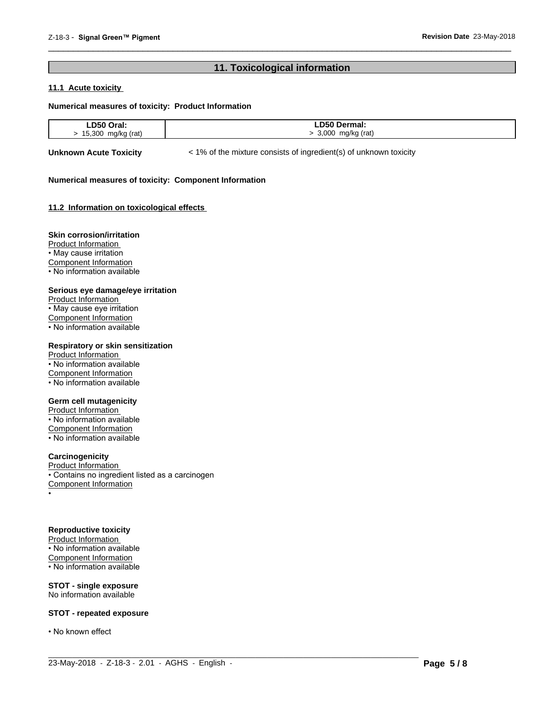# **11. Toxicological information**

 $\overline{\phantom{a}}$  ,  $\overline{\phantom{a}}$  ,  $\overline{\phantom{a}}$  ,  $\overline{\phantom{a}}$  ,  $\overline{\phantom{a}}$  ,  $\overline{\phantom{a}}$  ,  $\overline{\phantom{a}}$  ,  $\overline{\phantom{a}}$  ,  $\overline{\phantom{a}}$  ,  $\overline{\phantom{a}}$  ,  $\overline{\phantom{a}}$  ,  $\overline{\phantom{a}}$  ,  $\overline{\phantom{a}}$  ,  $\overline{\phantom{a}}$  ,  $\overline{\phantom{a}}$  ,  $\overline{\phantom{a}}$ 

# **11.1 Acute toxicity**

#### **Numerical measures of toxicity: Product Information**

| D50<br>$\sim$<br>۱aı.<br>. | D50 D<br><b>Dermai:</b> |
|----------------------------|-------------------------|
| 15,300<br>rat,             | 000<br>(rati<br>ma/kr   |

 $\_$  ,  $\_$  ,  $\_$  ,  $\_$  ,  $\_$  ,  $\_$  ,  $\_$  ,  $\_$  ,  $\_$  ,  $\_$  ,  $\_$  ,  $\_$  ,  $\_$  ,  $\_$  ,  $\_$  ,  $\_$  ,  $\_$  ,  $\_$  ,  $\_$  ,  $\_$  ,  $\_$  ,  $\_$  ,  $\_$  ,  $\_$  ,  $\_$  ,  $\_$  ,  $\_$  ,  $\_$  ,  $\_$  ,  $\_$  ,  $\_$  ,  $\_$  ,  $\_$  ,  $\_$  ,  $\_$  ,  $\_$  ,  $\_$  ,

**Unknown Acute Toxicity**  $\lt$  1% of the mixture consists of ingredient(s) of unknown toxicity

#### **Numerical measures of toxicity: Component Information**

#### **11.2 Information on toxicologicaleffects**

#### **Skin corrosion/irritation**

Product Information • May cause irritation Component Information • No information available

#### **Serious eye damage/eye irritation**

Product Information • May cause eye irritation Component Information • No information available

# **Respiratory or skin sensitization**

Product Information • No information available Component Information • No information available

# **Germ cell mutagenicity**

Product Information • No information available Component Information • No information available

# **Carcinogenicity**

Product Information • Contains no ingredient listed as a carcinogen Component Information •

#### **Reproductive toxicity**

Product Information • No information available Component Information • No information available

**STOT - single exposure** No information available

#### **STOT - repeated exposure**

• No known effect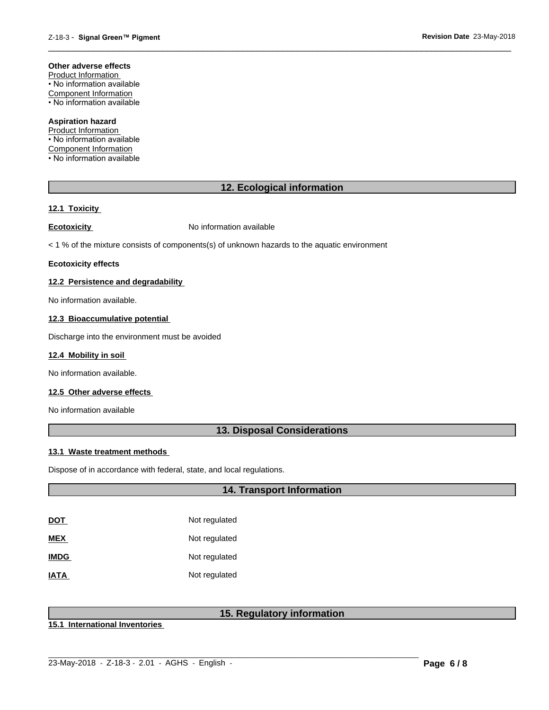#### **Other adverse effects**

Product Information • No information available Component Information • No information available

#### **Aspiration hazard**

Product Information • No information available Component Information • No information available

# **12. Ecological information**

 $\overline{\phantom{a}}$  ,  $\overline{\phantom{a}}$  ,  $\overline{\phantom{a}}$  ,  $\overline{\phantom{a}}$  ,  $\overline{\phantom{a}}$  ,  $\overline{\phantom{a}}$  ,  $\overline{\phantom{a}}$  ,  $\overline{\phantom{a}}$  ,  $\overline{\phantom{a}}$  ,  $\overline{\phantom{a}}$  ,  $\overline{\phantom{a}}$  ,  $\overline{\phantom{a}}$  ,  $\overline{\phantom{a}}$  ,  $\overline{\phantom{a}}$  ,  $\overline{\phantom{a}}$  ,  $\overline{\phantom{a}}$ 

#### **12.1 Toxicity**

**Ecotoxicity No information available** 

 $<$  1 % of the mixture consists of components(s) of unknown hazards to the aquatic environment

#### **Ecotoxicity effects**

#### **12.2 Persistence and degradability**

No information available.

#### **12.3 Bioaccumulative potential**

Discharge into the environment must be avoided

#### **12.4 Mobility in soil**

No information available.

#### **12.5 Other adverse effects**

No information available

# **13. Disposal Considerations**

#### **13.1 Waste treatment methods**

Dispose of in accordance with federal, state, and local regulations.

# **14. Transport Information**

| <u>DOT</u>  | Not regulated |
|-------------|---------------|
| MEX         | Not regulated |
| <b>IMDG</b> | Not regulated |
| <b>ATAI</b> | Not regulated |

# **15. Regulatory information**

**15.1 International Inventories**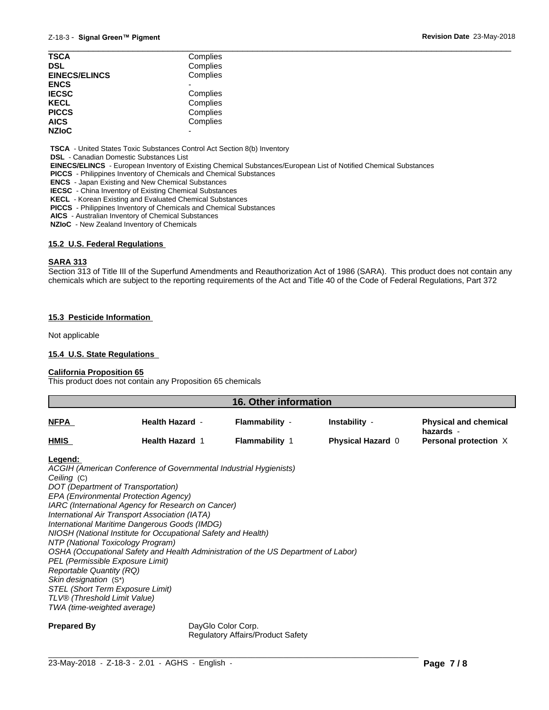| <b>TSCA</b>          | Complies |  |
|----------------------|----------|--|
| <b>DSL</b>           | Complies |  |
| <b>EINECS/ELINCS</b> | Complies |  |
| <b>ENCS</b>          |          |  |
| <b>IECSC</b>         | Complies |  |
| <b>KECL</b>          | Complies |  |
| <b>PICCS</b>         | Complies |  |
| <b>AICS</b>          | Complies |  |
| <b>NZIoC</b>         | -        |  |
|                      |          |  |

 **TSCA** - United States Toxic Substances Control Act Section 8(b) Inventory

 **DSL** - Canadian Domestic Substances List

 **EINECS/ELINCS** - European Inventory of Existing Chemical Substances/European List of Notified Chemical Substances

 **PICCS** - Philippines Inventory of Chemicals and Chemical Substances

 **ENCS** - Japan Existing and New Chemical Substances

 **IECSC** - China Inventory of Existing Chemical Substances

 **KECL** - Korean Existing and Evaluated Chemical Substances

 **PICCS** - Philippines Inventory of Chemicals and Chemical Substances

 **AICS** - Australian Inventory of Chemical Substances

 **NZIoC** - New Zealand Inventory of Chemicals

#### **15.2 U.S. Federal Regulations**

#### **SARA 313**

Section 313 of Title III of the Superfund Amendments and Reauthorization Act of 1986 (SARA). This product does not contain any chemicals which are subject to the reporting requirements of the Act and Title 40 of the Code of Federal Regulations, Part 372

#### **15.3 Pesticide Information**

Not applicable

#### **15.4 U.S. State Regulations**

#### **California Proposition 65**

This product does not contain any Proposition 65 chemicals

| 16. Other information |                        |                       |                          |                                           |
|-----------------------|------------------------|-----------------------|--------------------------|-------------------------------------------|
| <b>NFPA</b>           | <b>Health Hazard -</b> | Flammability -        | Instability -            | <b>Physical and chemical</b><br>hazards - |
| <b>HMIS</b>           | <b>Health Hazard 1</b> | <b>Flammability 1</b> | <b>Physical Hazard 0</b> | Personal protection X                     |

#### **Legend:**

*ACGIH (American Conference of Governmental Industrial Hygienists) Ceiling* (C) *DOT (Department of Transportation) EPA (Environmental Protection Agency) IARC (International Agency for Research on Cancer) International Air Transport Association (IATA) International Maritime Dangerous Goods (IMDG) NIOSH (National Institute for Occupational Safety and Health) NTP (National Toxicology Program) OSHA (Occupational Safety and Health Administration of the US Department of Labor) PEL (Permissible Exposure Limit) Reportable Quantity (RQ) Skin designation* (S\*) *STEL (Short Term Exposure Limit) TLV® (Threshold Limit Value) TWA (time-weighted average)*

**Prepared By** DayGlo Color Corp. Regulatory Affairs/Product Safety

 $\_$  ,  $\_$  ,  $\_$  ,  $\_$  ,  $\_$  ,  $\_$  ,  $\_$  ,  $\_$  ,  $\_$  ,  $\_$  ,  $\_$  ,  $\_$  ,  $\_$  ,  $\_$  ,  $\_$  ,  $\_$  ,  $\_$  ,  $\_$  ,  $\_$  ,  $\_$  ,  $\_$  ,  $\_$  ,  $\_$  ,  $\_$  ,  $\_$  ,  $\_$  ,  $\_$  ,  $\_$  ,  $\_$  ,  $\_$  ,  $\_$  ,  $\_$  ,  $\_$  ,  $\_$  ,  $\_$  ,  $\_$  ,  $\_$  ,